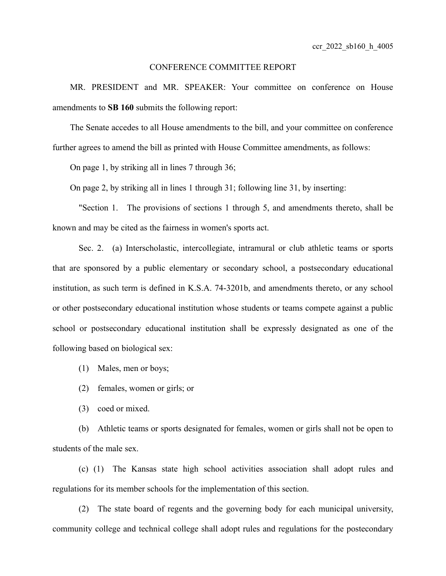## CONFERENCE COMMITTEE REPORT

MR. PRESIDENT and MR. SPEAKER: Your committee on conference on House amendments to **SB 160** submits the following report:

The Senate accedes to all House amendments to the bill, and your committee on conference further agrees to amend the bill as printed with House Committee amendments, as follows:

On page 1, by striking all in lines 7 through 36;

On page 2, by striking all in lines 1 through 31; following line 31, by inserting:

"Section 1. The provisions of sections 1 through 5, and amendments thereto, shall be known and may be cited as the fairness in women's sports act.

Sec. 2. (a) Interscholastic, intercollegiate, intramural or club athletic teams or sports that are sponsored by a public elementary or secondary school, a postsecondary educational institution, as such term is defined in K.S.A. 74-3201b, and amendments thereto, or any school or other postsecondary educational institution whose students or teams compete against a public school or postsecondary educational institution shall be expressly designated as one of the following based on biological sex:

(1) Males, men or boys;

- (2) females, women or girls; or
- (3) coed or mixed.

(b) Athletic teams or sports designated for females, women or girls shall not be open to students of the male sex.

(c) (1) The Kansas state high school activities association shall adopt rules and regulations for its member schools for the implementation of this section.

(2) The state board of regents and the governing body for each municipal university, community college and technical college shall adopt rules and regulations for the postecondary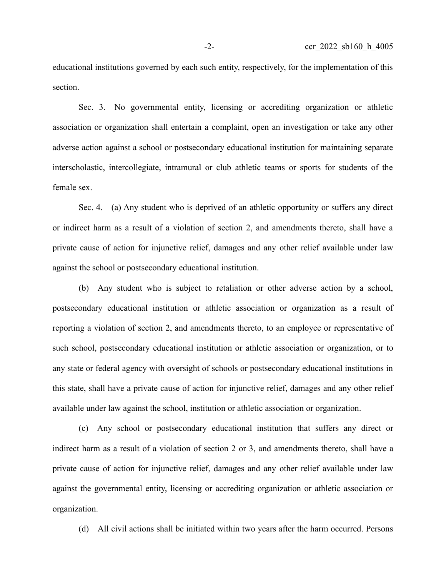educational institutions governed by each such entity, respectively, for the implementation of this section.

Sec. 3. No governmental entity, licensing or accrediting organization or athletic association or organization shall entertain a complaint, open an investigation or take any other adverse action against a school or postsecondary educational institution for maintaining separate interscholastic, intercollegiate, intramural or club athletic teams or sports for students of the female sex.

Sec. 4. (a) Any student who is deprived of an athletic opportunity or suffers any direct or indirect harm as a result of a violation of section 2, and amendments thereto, shall have a private cause of action for injunctive relief, damages and any other relief available under law against the school or postsecondary educational institution.

(b) Any student who is subject to retaliation or other adverse action by a school, postsecondary educational institution or athletic association or organization as a result of reporting a violation of section 2, and amendments thereto, to an employee or representative of such school, postsecondary educational institution or athletic association or organization, or to any state or federal agency with oversight of schools or postsecondary educational institutions in this state, shall have a private cause of action for injunctive relief, damages and any other relief available under law against the school, institution or athletic association or organization.

(c) Any school or postsecondary educational institution that suffers any direct or indirect harm as a result of a violation of section 2 or 3, and amendments thereto, shall have a private cause of action for injunctive relief, damages and any other relief available under law against the governmental entity, licensing or accrediting organization or athletic association or organization.

(d) All civil actions shall be initiated within two years after the harm occurred. Persons